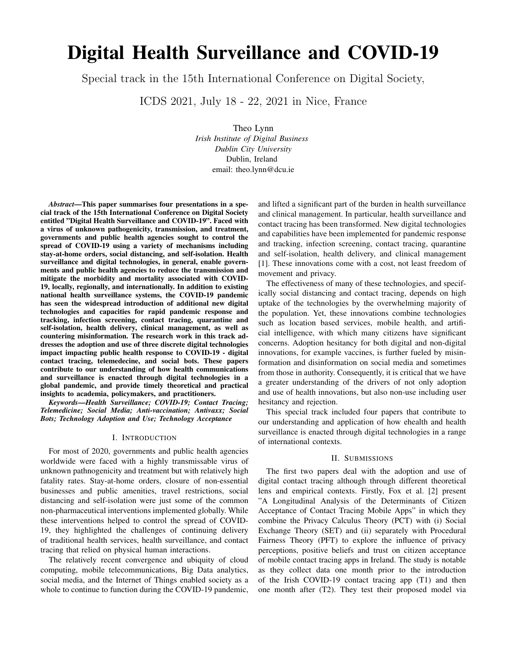# Digital Health Surveillance and COVID-19

Special track in the 15th International Conference on Digital Society,

ICDS 2021, July 18 - 22, 2021 in Nice, France

Theo Lynn *Irish Institute of Digital Business Dublin City University* Dublin, Ireland email: theo.lynn@dcu.ie

*Abstract*—This paper summarises four presentations in a special track of the 15th International Conference on Digital Society entitled "Digital Health Surveillance and COVID-19". Faced with a virus of unknown pathogenicity, transmission, and treatment, governments and public health agencies sought to control the spread of COVID-19 using a variety of mechanisms including stay-at-home orders, social distancing, and self-isolation. Health surveillance and digital technologies, in general, enable governments and public health agencies to reduce the transmission and mitigate the morbidity and mortality associated with COVID-19, locally, regionally, and internationally. In addition to existing national health surveillance systems, the COVID-19 pandemic has seen the widespread introduction of additional new digital technologies and capacities for rapid pandemic response and tracking, infection screening, contact tracing, quarantine and self-isolation, health delivery, clinical management, as well as countering misinformation. The research work in this track addresses the adoption and use of three discrete digital technologies impact impacting public health response to COVID-19 - digital contact tracing, telemedecine, and social bots. These papers contribute to our understanding of how health communications and surveillance is enacted through digital technologies in a global pandemic, and provide timely theoretical and practical insights to academia, policymakers, and practitioners.

*Keywords*—*Health Surveillance; COVID-19; Contact Tracing; Telemedicine; Social Media; Anti-vaccination; Antivaxx; Social Bots; Technology Adoption and Use; Technology Acceptance*

#### I. INTRODUCTION

For most of 2020, governments and public health agencies worldwide were faced with a highly transmissable virus of unknown pathnogenicity and treatment but with relatively high fatality rates. Stay-at-home orders, closure of non-essential businesses and public amenities, travel restrictions, social distancing and self-isolation were just some of the common non-pharmaceutical interventions implemented globally. While these interventions helped to control the spread of COVID-19, they highlighted the challenges of continuing delivery of traditional health services, health surveillance, and contact tracing that relied on physical human interactions.

The relatively recent convergence and ubiquity of cloud computing, mobile telecommunications, Big Data analytics, social media, and the Internet of Things enabled society as a whole to continue to function during the COVID-19 pandemic, and lifted a significant part of the burden in health surveillance and clinical management. In particular, health surveillance and contact tracing has been transformed. New digital technologies and capabilities have been implemented for pandemic response and tracking, infection screening, contact tracing, quarantine and self-isolation, health delivery, and clinical management [1]. These innovations come with a cost, not least freedom of movement and privacy.

The effectiveness of many of these technologies, and specifically social distancing and contact tracing, depends on high uptake of the technologies by the overwhelming majority of the population. Yet, these innovations combine technologies such as location based services, mobile health, and artificial intelligence, with which many citizens have significant concerns. Adoption hesitancy for both digital and non-digital innovations, for example vaccines, is further fueled by misinformation and disinformation on social media and sometimes from those in authority. Consequently, it is critical that we have a greater understanding of the drivers of not only adoption and use of health innovations, but also non-use including user hesitancy and rejection.

This special track included four papers that contribute to our understanding and application of how ehealth and health surveillance is enacted through digital technologies in a range of international contexts.

### II. SUBMISSIONS

The first two papers deal with the adoption and use of digital contact tracing although through different theoretical lens and empirical contexts. Firstly, Fox et al. [2] present "A Longitudinal Analysis of the Determinants of Citizen Acceptance of Contact Tracing Mobile Apps" in which they combine the Privacy Calculus Theory (PCT) with (i) Social Exchange Theory (SET) and (ii) separately with Procedural Fairness Theory (PFT) to explore the influence of privacy perceptions, positive beliefs and trust on citizen acceptance of mobile contact tracing apps in Ireland. The study is notable as they collect data one month prior to the introduction of the Irish COVID-19 contact tracing app (T1) and then one month after (T2). They test their proposed model via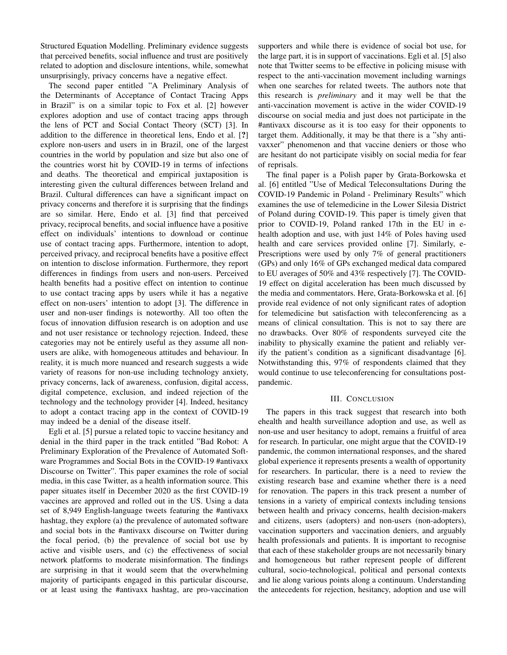Structured Equation Modelling. Preliminary evidence suggests that perceived benefits, social influence and trust are positively related to adoption and disclosure intentions, while, somewhat unsurprisingly, privacy concerns have a negative effect.

The second paper entitled "A Preliminary Analysis of the Determinants of Acceptance of Contact Tracing Apps in Brazil" is on a similar topic to Fox et al. [2] however explores adoption and use of contact tracing apps through the lens of PCT and Social Contact Theory (SCT) [3]. In addition to the difference in theoretical lens, Endo et al. [?] explore non-users and users in in Brazil, one of the largest countries in the world by population and size but also one of the countries worst hit by COVID-19 in terms of infections and deaths. The theoretical and empirical juxtaposition is interesting given the cultural differences between Ireland and Brazil. Cultural differences can have a significant impact on privacy concerns and therefore it is surprising that the findings are so similar. Here, Endo et al. [3] find that perceived privacy, reciprocal benefits, and social influence have a positive effect on individuals' intentions to download or continue use of contact tracing apps. Furthermore, intention to adopt, perceived privacy, and reciprocal benefits have a positive effect on intention to disclose information. Furthermore, they report differences in findings from users and non-users. Perceived health benefits had a positive effect on intention to continue to use contact tracing apps by users while it has a negative effect on non-users' intention to adopt [3]. The difference in user and non-user findings is noteworthy. All too often the focus of innovation diffusion research is on adoption and use and not user resistance or technology rejection. Indeed, these categories may not be entirely useful as they assume all nonusers are alike, with homogeneous attitudes and behaviour. In reality, it is much more nuanced and research suggests a wide variety of reasons for non-use including technology anxiety, privacy concerns, lack of awareness, confusion, digital access, digital competence, exclusion, and indeed rejection of the technology and the technology provider [4]. Indeed, hesitancy to adopt a contact tracing app in the context of COVID-19 may indeed be a denial of the disease itself.

Egli et al. [5] pursue a related topic to vaccine hesitancy and denial in the third paper in the track entitled "Bad Robot: A Preliminary Exploration of the Prevalence of Automated Software Programmes and Social Bots in the COVID-19 #antivaxx Discourse on Twitter". This paper examines the role of social media, in this case Twitter, as a health information source. This paper situates itself in December 2020 as the first COVID-19 vaccines are approved and rolled out in the US. Using a data set of 8,949 English-language tweets featuring the #antivaxx hashtag, they explore (a) the prevalence of automated software and social bots in the #antivaxx discourse on Twitter during the focal period, (b) the prevalence of social bot use by active and visible users, and (c) the effectiveness of social network platforms to moderate misinformation. The findings are surprising in that it would seem that the overwhelming majority of participants engaged in this particular discourse, or at least using the #antivaxx hashtag, are pro-vaccination supporters and while there is evidence of social bot use, for the large part, it is in support of vaccinations. Egli et al. [5] also note that Twitter seems to be effective in policing misuse with respect to the anti-vaccination movement including warnings when one searches for related tweets. The authors note that this research is *preliminary* and it may well be that the anti-vaccination movement is active in the wider COVID-19 discourse on social media and just does not participate in the #antivaxx discourse as it is too easy for their opponents to target them. Additionally, it may be that there is a "shy antivaxxer" phenomenon and that vaccine deniers or those who are hesitant do not participate visibly on social media for fear of reprisals.

The final paper is a Polish paper by Grata-Borkowska et al. [6] entitled "Use of Medical Teleconsultations During the COVID-19 Pandemic in Poland - Preliminary Results" which examines the use of telemedicine in the Lower Silesia District of Poland during COVID-19. This paper is timely given that prior to COVID-19, Poland ranked 17th in the EU in ehealth adoption and use, with just 14% of Poles having used health and care services provided online [7]. Similarly, e-Prescriptions were used by only 7% of general practitioners (GPs) and only 16% of GPs exchanged medical data compared to EU averages of 50% and 43% respectively [7]. The COVID-19 effect on digital acceleration has been much discussed by the media and commentators. Here, Grata-Borkowska et al. [6] provide real evidence of not only significant rates of adoption for telemedicine but satisfaction with teleconferencing as a means of clinical consultation. This is not to say there are no drawbacks. Over 80% of respondents surveyed cite the inability to physically examine the patient and reliably verify the patient's condition as a significant disadvantage [6]. Notwithstanding this, 97% of respondents claimed that they would continue to use teleconferencing for consultations postpandemic.

## III. CONCLUSION

The papers in this track suggest that research into both ehealth and health surveillance adoption and use, as well as non-use and user hesitancy to adopt, remains a fruitful of area for research. In particular, one might argue that the COVID-19 pandemic, the common international responses, and the shared global experience it represents presents a wealth of opportunity for researchers. In particular, there is a need to review the existing research base and examine whether there is a need for renovation. The papers in this track present a number of tensions in a variety of empirical contexts including tensions between health and privacy concerns, health decision-makers and citizens, users (adopters) and non-users (non-adopters), vaccination supporters and vaccination deniers, and arguably health professionals and patients. It is important to recognise that each of these stakeholder groups are not necessarily binary and homogeneous but rather represent people of different cultural, socio-technological, political and personal contexts and lie along various points along a continuum. Understanding the antecedents for rejection, hesitancy, adoption and use will